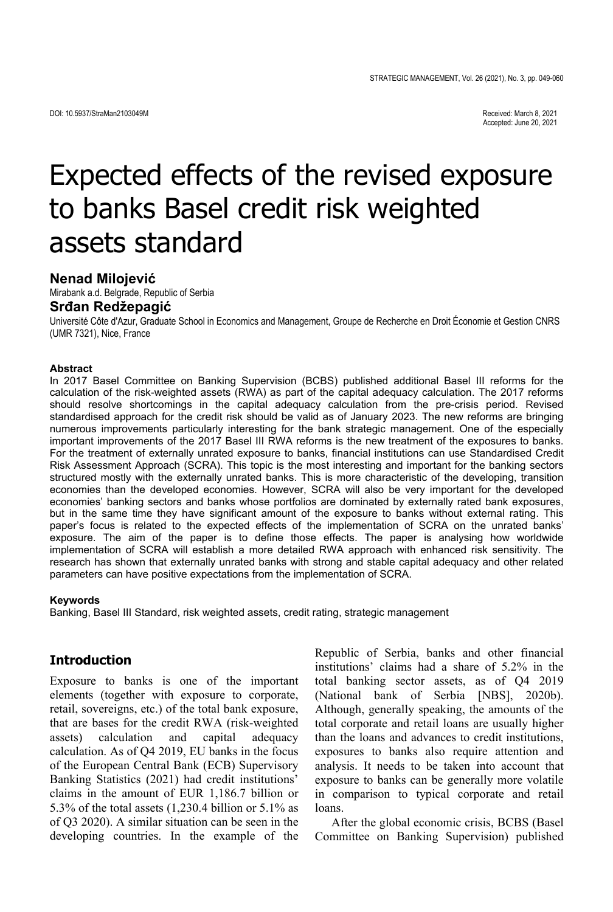Accepted: June 20, 2021

# Expected effects of the revised exposure to banks Basel credit risk weighted assets standard

#### **Nenad Milojević**

Mirabank a.d. Belgrade, Republic of Serbia

# **Srđan Redžepagić**

Université Côte d'Azur, Graduate School in Economics and Management, Groupe de Recherche en Droit Économie et Gestion CNRS (UMR 7321), Nice, France

#### **Abstract**

In 2017 Basel Committee on Banking Supervision (BCBS) published additional Basel III reforms for the calculation of the risk-weighted assets (RWA) as part of the capital adequacy calculation. The 2017 reforms should resolve shortcomings in the capital adequacy calculation from the pre-crisis period. Revised standardised approach for the credit risk should be valid as of January 2023. The new reforms are bringing numerous improvements particularly interesting for the bank strategic management. One of the especially important improvements of the 2017 Basel III RWA reforms is the new treatment of the exposures to banks. For the treatment of externally unrated exposure to banks, financial institutions can use Standardised Credit Risk Assessment Approach (SCRA). This topic is the most interesting and important for the banking sectors structured mostly with the externally unrated banks. This is more characteristic of the developing, transition economies than the developed economies. However, SCRA will also be very important for the developed economies' banking sectors and banks whose portfolios are dominated by externally rated bank exposures, but in the same time they have significant amount of the exposure to banks without external rating. This paper's focus is related to the expected effects of the implementation of SCRA on the unrated banks' exposure. The aim of the paper is to define those effects. The paper is analysing how worldwide implementation of SCRA will establish a more detailed RWA approach with enhanced risk sensitivity. The research has shown that externally unrated banks with strong and stable capital adequacy and other related parameters can have positive expectations from the implementation of SCRA.

#### **Keywords**

Banking, Basel III Standard, risk weighted assets, credit rating, strategic management

#### **Introduction**

Exposure to banks is one of the important elements (together with exposure to corporate, retail, sovereigns, etc.) of the total bank exposure, that are bases for the credit RWA (risk-weighted assets) calculation and capital adequacy calculation. As of Q4 2019, EU banks in the focus of the European Central Bank (ECB) Supervisory Banking Statistics (2021) had credit institutions' claims in the amount of EUR 1,186.7 billion or 5.3% of the total assets (1,230.4 billion or 5.1% as of Q3 2020). A similar situation can be seen in the developing countries. In the example of the Republic of Serbia, banks and other financial institutions' claims had a share of 5.2% in the total banking sector assets, as of Q4 2019 (National bank of Serbia [NBS], 2020b). Although, generally speaking, the amounts of the total corporate and retail loans are usually higher than the loans and advances to credit institutions, exposures to banks also require attention and analysis. It needs to be taken into account that exposure to banks can be generally more volatile in comparison to typical corporate and retail loans.

After the global economic crisis, BCBS (Basel Committee on Banking Supervision) published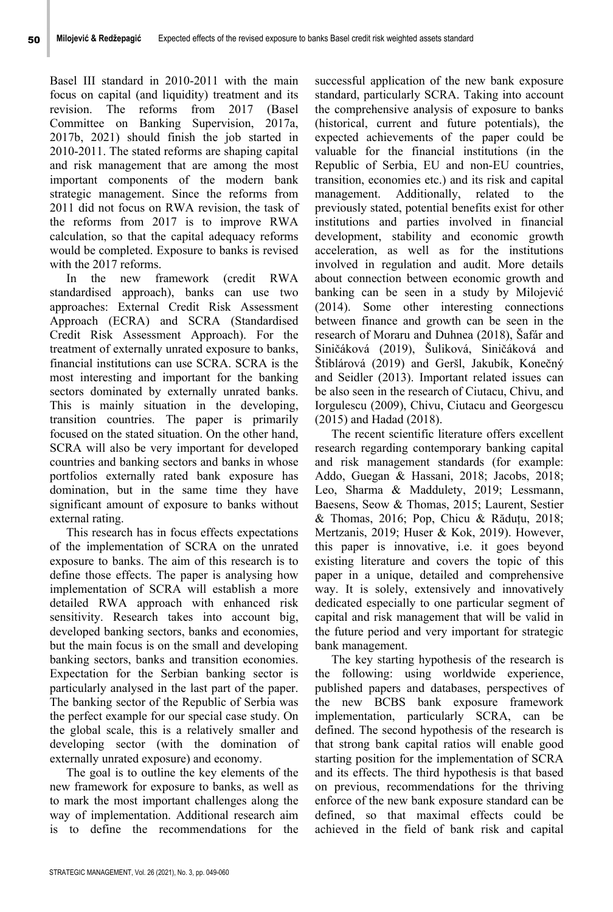Basel III standard in 2010-2011 with the main focus on capital (and liquidity) treatment and its revision. The reforms from 2017 (Basel Committee on Banking Supervision, 2017a, 2017b, 2021) should finish the job started in 2010-2011. The stated reforms are shaping capital and risk management that are among the most important components of the modern bank strategic management. Since the reforms from 2011 did not focus on RWA revision, the task of the reforms from 2017 is to improve RWA calculation, so that the capital adequacy reforms would be completed. Exposure to banks is revised with the 2017 reforms.

In the new framework (credit RWA standardised approach), banks can use two approaches: External Credit Risk Assessment Approach (ECRA) and SCRA (Standardised Credit Risk Assessment Approach). For the treatment of externally unrated exposure to banks, financial institutions can use SCRA. SCRA is the most interesting and important for the banking sectors dominated by externally unrated banks. This is mainly situation in the developing, transition countries. The paper is primarily focused on the stated situation. On the other hand, SCRA will also be very important for developed countries and banking sectors and banks in whose portfolios externally rated bank exposure has domination, but in the same time they have significant amount of exposure to banks without external rating.

This research has in focus effects expectations of the implementation of SCRA on the unrated exposure to banks. The aim of this research is to define those effects. The paper is analysing how implementation of SCRA will establish a more detailed RWA approach with enhanced risk sensitivity. Research takes into account big, developed banking sectors, banks and economies, but the main focus is on the small and developing banking sectors, banks and transition economies. Expectation for the Serbian banking sector is particularly analysed in the last part of the paper. The banking sector of the Republic of Serbia was the perfect example for our special case study. On the global scale, this is a relatively smaller and developing sector (with the domination of externally unrated exposure) and economy.

The goal is to outline the key elements of the new framework for exposure to banks, as well as to mark the most important challenges along the way of implementation. Additional research aim is to define the recommendations for the

successful application of the new bank exposure standard, particularly SCRA. Taking into account the comprehensive analysis of exposure to banks (historical, current and future potentials), the expected achievements of the paper could be valuable for the financial institutions (in the Republic of Serbia, EU and non-EU countries, transition, economies etc.) and its risk and capital management. Additionally, related to the previously stated, potential benefits exist for other institutions and parties involved in financial development, stability and economic growth acceleration, as well as for the institutions involved in regulation and audit. More details about connection between economic growth and banking can be seen in a study by Milojević (2014). Some other interesting connections between finance and growth can be seen in the research of Moraru and Duhnea (2018), Šafár and Siničáková (2019), Šuliková, Siničáková and Štiblárová (2019) and Geršl, Jakubík, Konečný and Seidler (2013). Important related issues can be also seen in the research of Ciutacu, Chivu, and Iorgulescu (2009), Chivu, Ciutacu and Georgescu (2015) and Hadad (2018).

The recent scientific literature offers excellent research regarding contemporary banking capital and risk management standards (for example: Addo, Guegan & Hassani, 2018; Jacobs, 2018; Leo, Sharma & Maddulety, 2019; Lessmann, Baesens, Seow & Thomas, 2015; Laurent, Sestier & Thomas, 2016; Pop, Chicu & Răduțu, 2018; Mertzanis, 2019; Huser & Kok, 2019). However, this paper is innovative, i.e. it goes beyond existing literature and covers the topic of this paper in a unique, detailed and comprehensive way. It is solely, extensively and innovatively dedicated especially to one particular segment of capital and risk management that will be valid in the future period and very important for strategic bank management.

The key starting hypothesis of the research is the following: using worldwide experience, published papers and databases, perspectives of the new BCBS bank exposure framework implementation, particularly SCRA, can be defined. The second hypothesis of the research is that strong bank capital ratios will enable good starting position for the implementation of SCRA and its effects. The third hypothesis is that based on previous, recommendations for the thriving enforce of the new bank exposure standard can be defined, so that maximal effects could be achieved in the field of bank risk and capital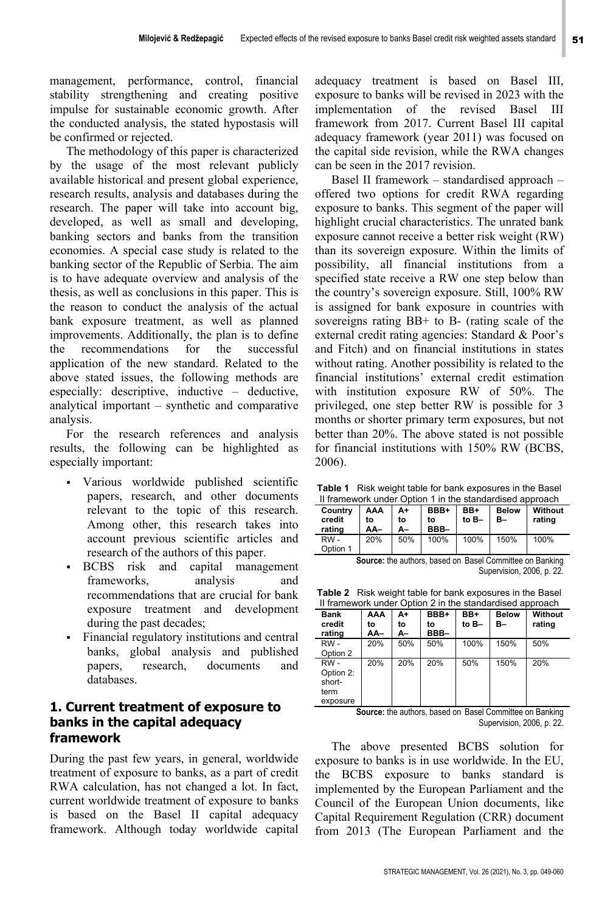management, performance, control, financial stability strengthening and creating positive impulse for sustainable economic growth. After the conducted analysis, the stated hypostasis will be confirmed or rejected.

The methodology of this paper is characterized by the usage of the most relevant publicly available historical and present global experience, research results, analysis and databases during the research. The paper will take into account big, developed, as well as small and developing, banking sectors and banks from the transition economies. A special case study is related to the banking sector of the Republic of Serbia. The aim is to have adequate overview and analysis of the thesis, as well as conclusions in this paper. This is the reason to conduct the analysis of the actual bank exposure treatment, as well as planned improvements. Additionally, the plan is to define the recommendations for the successful application of the new standard. Related to the above stated issues, the following methods are especially: descriptive, inductive – deductive, analytical important – synthetic and comparative analysis.

For the research references and analysis results, the following can be highlighted as especially important:

- Various worldwide published scientific papers, research, and other documents relevant to the topic of this research. Among other, this research takes into account previous scientific articles and research of the authors of this paper.
- BCBS risk and capital management frameworks, analysis and recommendations that are crucial for bank exposure treatment and development during the past decades;
- Financial regulatory institutions and central banks, global analysis and published papers, research, documents and databases.

#### **1. Current treatment of exposure to banks in the capital adequacy framework**

During the past few years, in general, worldwide treatment of exposure to banks, as a part of credit RWA calculation, has not changed a lot. In fact, current worldwide treatment of exposure to banks is based on the Basel II capital adequacy framework. Although today worldwide capital

adequacy treatment is based on Basel III, exposure to banks will be revised in 2023 with the implementation of the revised Basel III framework from 2017. Current Basel III capital adequacy framework (year 2011) was focused on the capital side revision, while the RWA changes can be seen in the 2017 revision.

Basel II framework – standardised approach – offered two options for credit RWA regarding exposure to banks. This segment of the paper will highlight crucial characteristics. The unrated bank exposure cannot receive a better risk weight (RW) than its sovereign exposure. Within the limits of possibility, all financial institutions from a specified state receive a RW one step below than the country's sovereign exposure. Still, 100% RW is assigned for bank exposure in countries with sovereigns rating BB+ to B- (rating scale of the external credit rating agencies: Standard & Poor's and Fitch) and on financial institutions in states without rating. Another possibility is related to the financial institutions' external credit estimation with institution exposure RW of 50%. The privileged, one step better RW is possible for 3 months or shorter primary term exposures, but not better than 20%. The above stated is not possible for financial institutions with 150% RW (BCBS, 2006).

**Table 1** Risk weight table for bank exposures in the Basel II framework under Option 1 in the standardised approach

| Country<br>credit<br>rating | AAA<br>to<br>AA- | A+<br>to<br>А- | BBB+<br>to<br>BBB- | BB+<br>to B- | <b>Below</b><br>B- | Without<br>rating |
|-----------------------------|------------------|----------------|--------------------|--------------|--------------------|-------------------|
| $RW -$<br>Option 1          | 20%              | 50%            | 100%               | 100%         | 150%               | 100%              |

**Source:** the authors, based on Basel Committee on Banking Supervision, 2006, p. 22.

|  |  | <b>Table 2</b> Risk weight table for bank exposures in the Basel |
|--|--|------------------------------------------------------------------|
|  |  | If framework under Option 2 in the standardised approach         |
|  |  |                                                                  |

| <b>Bank</b><br>credit<br>rating                | AAA<br>to<br>AA– | A+<br>to<br>А- | BBB+<br>to<br>BBB- | BB+<br>to B- | <b>Below</b><br>в- | Without<br>rating |
|------------------------------------------------|------------------|----------------|--------------------|--------------|--------------------|-------------------|
| RW -<br>Option 2                               | 20%              | 50%            | 50%                | 100%         | 150%               | 50%               |
| RW-<br>Option 2:<br>short-<br>term<br>exposure | 20%              | 20%            | 20%                | 50%          | 150%               | 20%               |

**Source:** the authors, based on Basel Committee on Banking Supervision, 2006, p. 22.

The above presented BCBS solution for exposure to banks is in use worldwide. In the EU, the BCBS exposure to banks standard is implemented by the European Parliament and the Council of the European Union documents, like Capital Requirement Regulation (CRR) document from 2013 (The European Parliament and the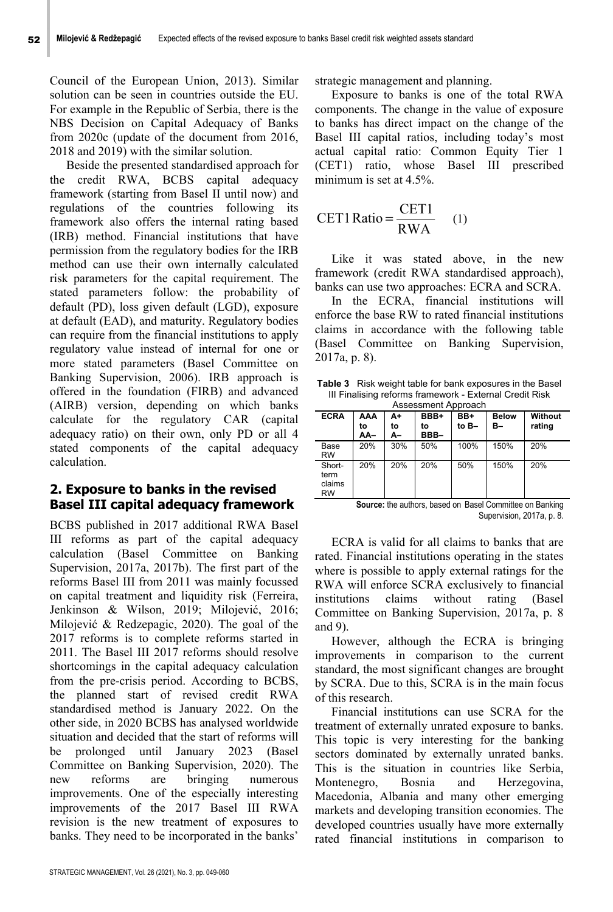Council of the European Union, 2013). Similar solution can be seen in countries outside the EU. For example in the Republic of Serbia, there is the NBS Decision on Capital Adequacy of Banks from 2020c (update of the document from 2016, 2018 and 2019) with the similar solution.

Beside the presented standardised approach for the credit RWA, BCBS capital adequacy framework (starting from Basel II until now) and regulations of the countries following its framework also offers the internal rating based (IRB) method. Financial institutions that have permission from the regulatory bodies for the IRB method can use their own internally calculated risk parameters for the capital requirement. The stated parameters follow: the probability of default (PD), loss given default (LGD), exposure at default (EAD), and maturity. Regulatory bodies can require from the financial institutions to apply regulatory value instead of internal for one or more stated parameters (Basel Committee on Banking Supervision, 2006). IRB approach is offered in the foundation (FIRB) and advanced (AIRB) version, depending on which banks calculate for the regulatory CAR (capital adequacy ratio) on their own, only PD or all 4 stated components of the capital adequacy calculation.

## **2. Exposure to banks in the revised Basel III capital adequacy framework**

BCBS published in 2017 additional RWA Basel III reforms as part of the capital adequacy calculation (Basel Committee on Banking Supervision, 2017a, 2017b). The first part of the reforms Basel III from 2011 was mainly focussed on capital treatment and liquidity risk (Ferreira, Jenkinson & Wilson, 2019; Milojević, 2016; Milojević & Redzepagic, 2020). The goal of the 2017 reforms is to complete reforms started in 2011. The Basel III 2017 reforms should resolve shortcomings in the capital adequacy calculation from the pre-crisis period. According to BCBS, the planned start of revised credit RWA standardised method is January 2022. On the other side, in 2020 BCBS has analysed worldwide situation and decided that the start of reforms will be prolonged until January 2023 (Basel Committee on Banking Supervision, 2020). The new reforms are bringing numerous improvements. One of the especially interesting improvements of the 2017 Basel III RWA revision is the new treatment of exposures to banks. They need to be incorporated in the banks'

strategic management and planning.

Exposure to banks is one of the total RWA components. The change in the value of exposure to banks has direct impact on the change of the Basel III capital ratios, including today's most actual capital ratio: Common Equity Tier 1 (CET1) ratio, whose Basel III prescribed minimum is set at 4.5%.

$$
CET1 Ratio = \frac{CET1}{RWA} \quad (1)
$$

Like it was stated above, in the new framework (credit RWA standardised approach), banks can use two approaches: ECRA and SCRA.

In the ECRA, financial institutions will enforce the base RW to rated financial institutions claims in accordance with the following table (Basel Committee on Banking Supervision, 2017a, p. 8).

**Table 3** Risk weight table for bank exposures in the Basel III Finalising reforms framework - External Credit Risk Assessment Approach

| <b>ECRA</b>                    | AAA<br>to<br>AA- | A+<br>to<br>А- | BBB+<br>to<br>BBB- | BB+<br>to B- | <b>Below</b><br>В- | Without<br>rating |
|--------------------------------|------------------|----------------|--------------------|--------------|--------------------|-------------------|
| Base<br><b>RW</b>              | 20%              | 30%            | 50%                | 100%         | 150%               | 20%               |
| Short-<br>term<br>claims<br>RW | 20%              | 20%            | 20%                | 50%          | 150%               | 20%               |

**Source:** the authors, based on Basel Committee on Banking Supervision, 2017a, p. 8.

ECRA is valid for all claims to banks that are rated. Financial institutions operating in the states where is possible to apply external ratings for the RWA will enforce SCRA exclusively to financial institutions claims without rating (Basel Committee on Banking Supervision, 2017a, p. 8 and 9).

However, although the ECRA is bringing improvements in comparison to the current standard, the most significant changes are brought by SCRA. Due to this, SCRA is in the main focus of this research.

Financial institutions can use SCRA for the treatment of externally unrated exposure to banks. This topic is very interesting for the banking sectors dominated by externally unrated banks. This is the situation in countries like Serbia, Montenegro, Bosnia and Herzegovina, Macedonia, Albania and many other emerging markets and developing transition economies. The developed countries usually have more externally rated financial institutions in comparison to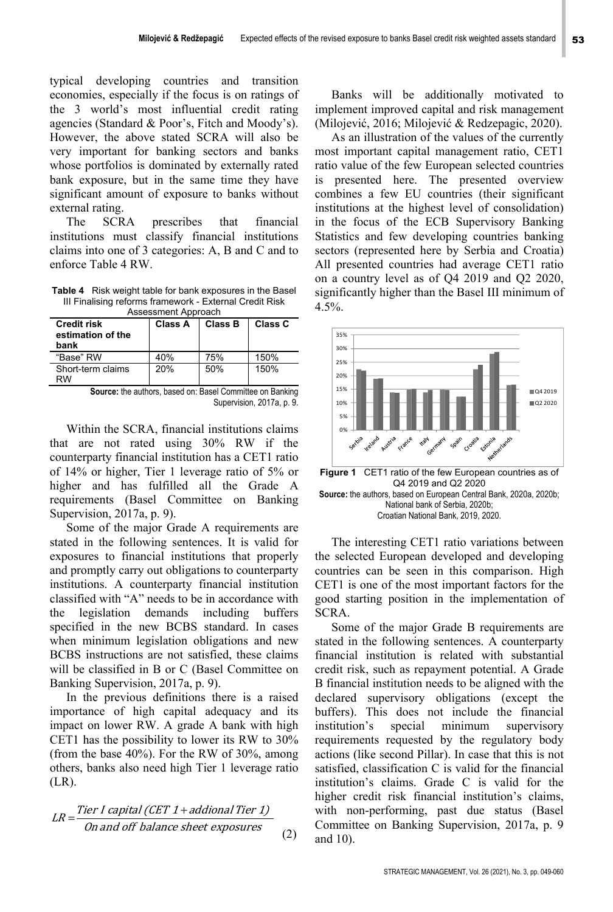typical developing countries and transition economies, especially if the focus is on ratings of the 3 world's most influential credit rating agencies (Standard & Poor's, Fitch and Moody's). However, the above stated SCRA will also be very important for banking sectors and banks whose portfolios is dominated by externally rated bank exposure, but in the same time they have significant amount of exposure to banks without external rating.

The SCRA prescribes that financial institutions must classify financial institutions claims into one of 3 categories: A, B and C and to enforce Table 4 RW.

**Table 4** Risk weight table for bank exposures in the Basel III Finalising reforms framework - External Credit Risk

| Assessment Approach                             |         |         |         |  |  |
|-------------------------------------------------|---------|---------|---------|--|--|
| <b>Credit risk</b><br>estimation of the<br>bank | Class A | Class B | Class C |  |  |
| "Base" RW                                       | 40%     | 75%     | 150%    |  |  |
| Short-term claims<br>RW                         | 20%     | 50%     | 150%    |  |  |

**Source:** the authors, based on: Basel Committee on Banking Supervision, 2017a, p. 9.

Within the SCRA, financial institutions claims that are not rated using 30% RW if the counterparty financial institution has a CET1 ratio of 14% or higher, Tier 1 leverage ratio of 5% or higher and has fulfilled all the Grade A requirements (Basel Committee on Banking Supervision, 2017a, p. 9).

Some of the major Grade A requirements are stated in the following sentences. It is valid for exposures to financial institutions that properly and promptly carry out obligations to counterparty institutions. A counterparty financial institution classified with "A" needs to be in accordance with the legislation demands including buffers specified in the new BCBS standard. In cases when minimum legislation obligations and new BCBS instructions are not satisfied, these claims will be classified in B or C (Basel Committee on Banking Supervision, 2017a, p. 9).

In the previous definitions there is a raised importance of high capital adequacy and its impact on lower RW. A grade A bank with high CET1 has the possibility to lower its RW to 30% (from the base 40%). For the RW of 30%, among others, banks also need high Tier 1 leverage ratio (LR).

$$
LR = \frac{Tier I capital (CET 1 + additional Tier 1)}{On and off balance sheet exposures}
$$
\n(2)

Banks will be additionally motivated to implement improved capital and risk management (Milojević, 2016; Milojević & Redzepagic, 2020).

As an illustration of the values of the currently most important capital management ratio, CET1 ratio value of the few European selected countries is presented here. The presented overview combines a few EU countries (their significant institutions at the highest level of consolidation) in the focus of the ECB Supervisory Banking Statistics and few developing countries banking sectors (represented here by Serbia and Croatia) All presented countries had average CET1 ratio on a country level as of Q4 2019 and Q2 2020, significantly higher than the Basel III minimum of  $4.5%$ .



Q4 2019 and Q2 2020 **Source:** the authors, based on European Central Bank, 2020a, 2020b; National bank of Serbia, 2020b; Croatian National Bank, 2019, 2020.

The interesting CET1 ratio variations between the selected European developed and developing countries can be seen in this comparison. High CET1 is one of the most important factors for the good starting position in the implementation of SCRA.

Some of the major Grade B requirements are stated in the following sentences. A counterparty financial institution is related with substantial credit risk, such as repayment potential. A Grade B financial institution needs to be aligned with the declared supervisory obligations (except the buffers). This does not include the financial institution's special minimum supervisory requirements requested by the regulatory body actions (like second Pillar). In case that this is not satisfied, classification C is valid for the financial institution's claims. Grade C is valid for the higher credit risk financial institution's claims, with non-performing, past due status (Basel Committee on Banking Supervision, 2017a, p. 9 and 10).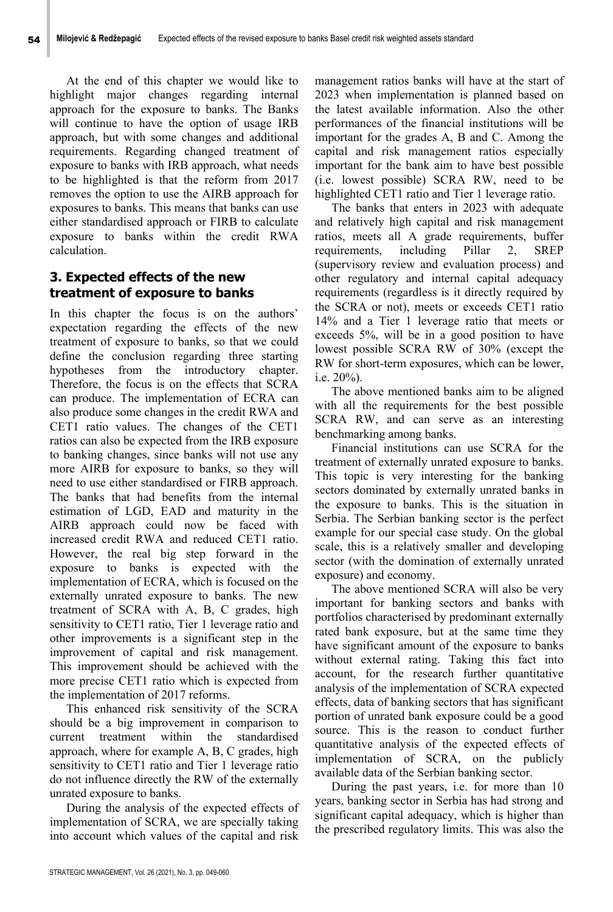At the end of this chapter we would like to highlight major changes regarding internal approach for the exposure to banks. The Banks will continue to have the option of usage IRB approach, but with some changes and additional requirements. Regarding changed treatment of exposure to banks with IRB approach, what needs to be highlighted is that the reform from 2017 removes the option to use the AIRB approach for exposures to banks. This means that banks can use either standardised approach or FIRB to calculate exposure to banks within the credit RWA calculation.

### **3. Expected effects of the new treatment of exposure to banks**

In this chapter the focus is on the authors' expectation regarding the effects of the new treatment of exposure to banks, so that we could define the conclusion regarding three starting hypotheses from the introductory chapter. Therefore, the focus is on the effects that SCRA can produce. The implementation of ECRA can also produce some changes in the credit RWA and CET1 ratio values. The changes of the CET1 ratios can also be expected from the IRB exposure to banking changes, since banks will not use any more AIRB for exposure to banks, so they will need to use either standardised or FIRB approach. The banks that had benefits from the internal estimation of LGD, EAD and maturity in the AIRB approach could now be faced with increased credit RWA and reduced CET1 ratio. However, the real big step forward in the exposure to banks is expected with the implementation of ECRA, which is focused on the externally unrated exposure to banks. The new treatment of SCRA with A, B, C grades, high sensitivity to CET1 ratio, Tier 1 leverage ratio and other improvements is a significant step in the improvement of capital and risk management. This improvement should be achieved with the more precise CET1 ratio which is expected from the implementation of 2017 reforms.

This enhanced risk sensitivity of the SCRA should be a big improvement in comparison to current treatment within the standardised approach, where for example A, B, C grades, high sensitivity to CET1 ratio and Tier 1 leverage ratio do not influence directly the RW of the externally unrated exposure to banks.

During the analysis of the expected effects of implementation of SCRA, we are specially taking into account which values of the capital and risk

management ratios banks will have at the start of 2023 when implementation is planned based on the latest available information. Also the other performances of the financial institutions will be important for the grades A, B and C. Among the capital and risk management ratios especially important for the bank aim to have best possible (i.e. lowest possible) SCRA RW, need to be highlighted CET1 ratio and Tier 1 leverage ratio.

The banks that enters in 2023 with adequate and relatively high capital and risk management ratios, meets all A grade requirements, buffer requirements, including Pillar 2, SREP (supervisory review and evaluation process) and other regulatory and internal capital adequacy requirements (regardless is it directly required by the SCRA or not), meets or exceeds CET1 ratio 14% and a Tier 1 leverage ratio that meets or exceeds 5%, will be in a good position to have lowest possible SCRA RW of 30% (except the RW for short-term exposures, which can be lower, i.e. 20%).

The above mentioned banks aim to be aligned with all the requirements for the best possible SCRA RW, and can serve as an interesting benchmarking among banks.

Financial institutions can use SCRA for the treatment of externally unrated exposure to banks. This topic is very interesting for the banking sectors dominated by externally unrated banks in the exposure to banks. This is the situation in Serbia. The Serbian banking sector is the perfect example for our special case study. On the global scale, this is a relatively smaller and developing sector (with the domination of externally unrated exposure) and economy.

The above mentioned SCRA will also be very important for banking sectors and banks with portfolios characterised by predominant externally rated bank exposure, but at the same time they have significant amount of the exposure to banks without external rating. Taking this fact into account, for the research further quantitative analysis of the implementation of SCRA expected effects, data of banking sectors that has significant portion of unrated bank exposure could be a good source. This is the reason to conduct further quantitative analysis of the expected effects of implementation of SCRA, on the publicly available data of the Serbian banking sector.

During the past years, i.e. for more than 10 years, banking sector in Serbia has had strong and significant capital adequacy, which is higher than the prescribed regulatory limits. This was also the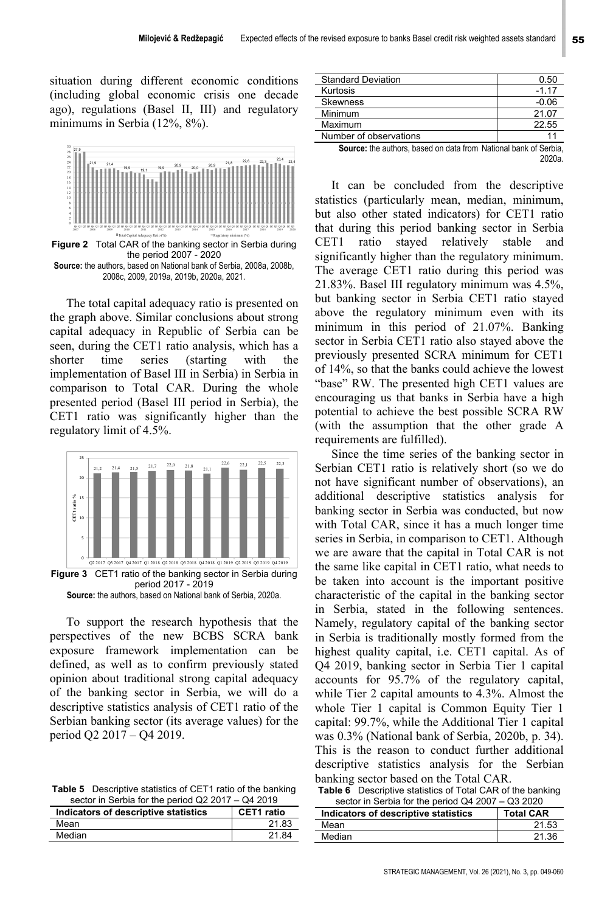situation during different economic conditions (including global economic crisis one decade ago), regulations (Basel II, III) and regulatory minimums in Serbia (12%, 8%).



**Figure 2** Total CAR of the banking sector in Serbia during the period 2007 - 2020 **Source:** the authors, based on National bank of Serbia, 2008a, 2008b, 2008c, 2009, 2019a, 2019b, 2020a, 2021.

The total capital adequacy ratio is presented on the graph above. Similar conclusions about strong capital adequacy in Republic of Serbia can be seen, during the CET1 ratio analysis, which has a shorter time series (starting with the implementation of Basel III in Serbia) in Serbia in comparison to Total CAR. During the whole presented period (Basel III period in Serbia), the CET1 ratio was significantly higher than the regulatory limit of 4.5%.



To support the research hypothesis that the perspectives of the new BCBS SCRA bank exposure framework implementation can be defined, as well as to confirm previously stated opinion about traditional strong capital adequacy of the banking sector in Serbia, we will do a descriptive statistics analysis of CET1 ratio of the Serbian banking sector (its average values) for the period Q2 2017 – Q4 2019.

**Table 5** Descriptive statistics of CET1 ratio of the banking sector in Serbia for the period Q2 2017 – Q4 2019

| Indicators of descriptive statistics | CET1 ratio |
|--------------------------------------|------------|
| Mean                                 | 21.83      |
| Median                               | 21.84      |

| <b>Standard Deviation</b>                                               | 0.50    |
|-------------------------------------------------------------------------|---------|
| Kurtosis                                                                | $-1.17$ |
| <b>Skewness</b>                                                         | $-0.06$ |
| Minimum                                                                 | 21.07   |
| Maximum                                                                 | 22.55   |
| Number of observations                                                  | 11      |
| <b>Source:</b> the authors, based on data from National bank of Serbia, |         |
|                                                                         |         |

It can be concluded from the descriptive statistics (particularly mean, median, minimum, but also other stated indicators) for CET1 ratio that during this period banking sector in Serbia CET1 ratio stayed relatively stable and significantly higher than the regulatory minimum. The average CET1 ratio during this period was 21.83%. Basel III regulatory minimum was 4.5%, but banking sector in Serbia CET1 ratio stayed above the regulatory minimum even with its minimum in this period of 21.07%. Banking sector in Serbia CET1 ratio also stayed above the previously presented SCRA minimum for CET1 of 14%, so that the banks could achieve the lowest "base" RW. The presented high CET1 values are encouraging us that banks in Serbia have a high potential to achieve the best possible SCRA RW (with the assumption that the other grade A requirements are fulfilled).

Since the time series of the banking sector in Serbian CET1 ratio is relatively short (so we do not have significant number of observations), an additional descriptive statistics analysis for banking sector in Serbia was conducted, but now with Total CAR, since it has a much longer time series in Serbia, in comparison to CET1. Although we are aware that the capital in Total CAR is not the same like capital in CET1 ratio, what needs to be taken into account is the important positive characteristic of the capital in the banking sector in Serbia, stated in the following sentences. Namely, regulatory capital of the banking sector in Serbia is traditionally mostly formed from the highest quality capital, i.e. CET1 capital. As of Q4 2019, banking sector in Serbia Tier 1 capital accounts for 95.7% of the regulatory capital, while Tier 2 capital amounts to 4.3%. Almost the whole Tier 1 capital is Common Equity Tier 1 capital: 99.7%, while the Additional Tier 1 capital was 0.3% (National bank of Serbia, 2020b, p. 34). This is the reason to conduct further additional descriptive statistics analysis for the Serbian banking sector based on the Total CAR.

**Table 6** Descriptive statistics of Total CAR of the banking sector in Serbia for the period Q4 2007 – Q3 2020

| Indicators of descriptive statistics | <b>Total CAR</b> |
|--------------------------------------|------------------|
| Mean                                 | 21.53            |
| Median                               | 21.36            |
|                                      |                  |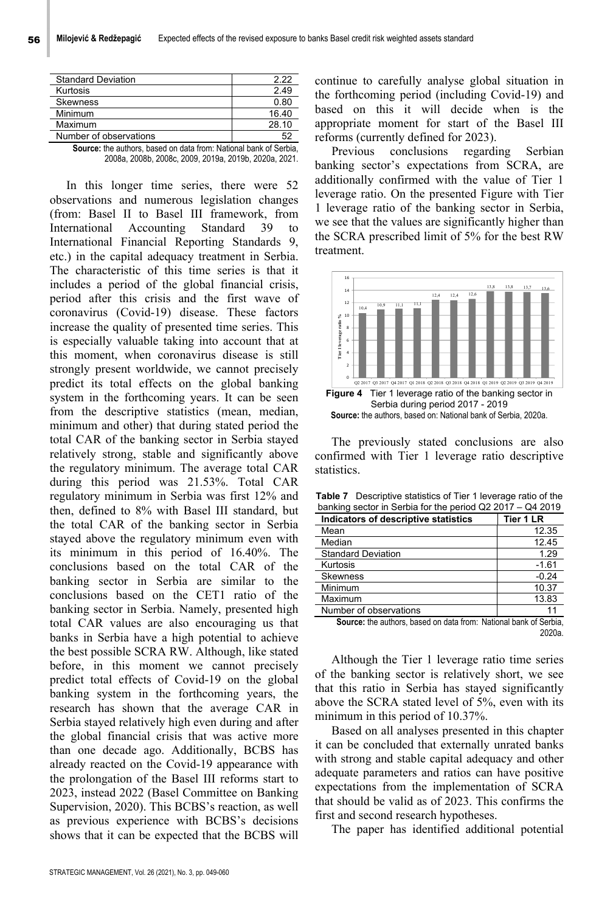| <b>Standard Deviation</b> | 2 22  |
|---------------------------|-------|
| Kurtosis                  | 2.49  |
| <b>Skewness</b>           | 0.80  |
| Minimum                   | 16.40 |
| Maximum                   | 28.10 |
| Number of observations    |       |
| . <i>.</i>                |       |

**Source:** the authors, based on data from: National bank of Serbia, 2008a, 2008b, 2008c, 2009, 2019a, 2019b, 2020a, 2021.

In this longer time series, there were 52 observations and numerous legislation changes (from: Basel II to Basel III framework, from International Accounting Standard 39 to International Financial Reporting Standards 9, etc.) in the capital adequacy treatment in Serbia. The characteristic of this time series is that it includes a period of the global financial crisis, period after this crisis and the first wave of coronavirus (Covid-19) disease. These factors increase the quality of presented time series. This is especially valuable taking into account that at this moment, when coronavirus disease is still strongly present worldwide, we cannot precisely predict its total effects on the global banking system in the forthcoming years. It can be seen from the descriptive statistics (mean, median, minimum and other) that during stated period the total CAR of the banking sector in Serbia stayed relatively strong, stable and significantly above the regulatory minimum. The average total CAR during this period was 21.53%. Total CAR regulatory minimum in Serbia was first 12% and then, defined to 8% with Basel III standard, but the total CAR of the banking sector in Serbia stayed above the regulatory minimum even with its minimum in this period of 16.40%. The conclusions based on the total CAR of the banking sector in Serbia are similar to the conclusions based on the CET1 ratio of the banking sector in Serbia. Namely, presented high total CAR values are also encouraging us that banks in Serbia have a high potential to achieve the best possible SCRA RW. Although, like stated before, in this moment we cannot precisely predict total effects of Covid-19 on the global banking system in the forthcoming years, the research has shown that the average CAR in Serbia stayed relatively high even during and after the global financial crisis that was active more than one decade ago. Additionally, BCBS has already reacted on the Covid-19 appearance with the prolongation of the Basel III reforms start to 2023, instead 2022 (Basel Committee on Banking Supervision, 2020). This BCBS's reaction, as well as previous experience with BCBS's decisions shows that it can be expected that the BCBS will

continue to carefully analyse global situation in the forthcoming period (including Covid-19) and based on this it will decide when is the appropriate moment for start of the Basel III reforms (currently defined for 2023).

Previous conclusions regarding Serbian banking sector's expectations from SCRA, are additionally confirmed with the value of Tier 1 leverage ratio. On the presented Figure with Tier 1 leverage ratio of the banking sector in Serbia, we see that the values are significantly higher than the SCRA prescribed limit of 5% for the best RW treatment.



The previously stated conclusions are also confirmed with Tier 1 leverage ratio descriptive statistics.

| $\alpha$ banking sector in Serbia for the period QZ 2017 $-$ Q4 2019 |           |  |  |  |
|----------------------------------------------------------------------|-----------|--|--|--|
| Indicators of descriptive statistics                                 | Tier 1 LR |  |  |  |
| Mean                                                                 | 12.35     |  |  |  |
| Median                                                               | 12.45     |  |  |  |
| <b>Standard Deviation</b>                                            | 1.29      |  |  |  |
| Kurtosis                                                             | $-1.61$   |  |  |  |
| <b>Skewness</b>                                                      | $-0.24$   |  |  |  |
| Minimum                                                              | 10.37     |  |  |  |
| Maximum                                                              | 13.83     |  |  |  |
| Number of observations                                               |           |  |  |  |

**Table 7** Descriptive statistics of Tier 1 leverage ratio of the banking sector in Serbia for the period Q2 2017 – Q4 2019

**Source:** the authors, based on data from: National bank of Serbia, 2020a.

Although the Tier 1 leverage ratio time series of the banking sector is relatively short, we see that this ratio in Serbia has stayed significantly above the SCRA stated level of 5%, even with its minimum in this period of 10.37%.

Based on all analyses presented in this chapter it can be concluded that externally unrated banks with strong and stable capital adequacy and other adequate parameters and ratios can have positive expectations from the implementation of SCRA that should be valid as of 2023. This confirms the first and second research hypotheses.

The paper has identified additional potential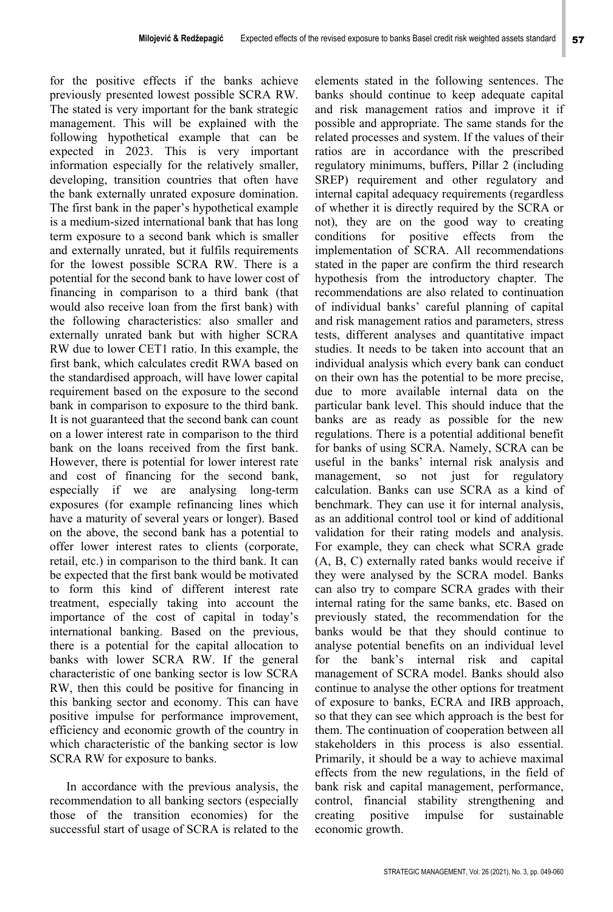for the positive effects if the banks achieve previously presented lowest possible SCRA RW. The stated is very important for the bank strategic management. This will be explained with the following hypothetical example that can be expected in 2023. This is very important information especially for the relatively smaller, developing, transition countries that often have the bank externally unrated exposure domination. The first bank in the paper's hypothetical example is a medium-sized international bank that has long term exposure to a second bank which is smaller and externally unrated, but it fulfils requirements for the lowest possible SCRA RW. There is a potential for the second bank to have lower cost of financing in comparison to a third bank (that would also receive loan from the first bank) with the following characteristics: also smaller and externally unrated bank but with higher SCRA RW due to lower CET1 ratio. In this example, the first bank, which calculates credit RWA based on the standardised approach, will have lower capital requirement based on the exposure to the second bank in comparison to exposure to the third bank. It is not guaranteed that the second bank can count on a lower interest rate in comparison to the third bank on the loans received from the first bank. However, there is potential for lower interest rate and cost of financing for the second bank, especially if we are analysing long-term exposures (for example refinancing lines which have a maturity of several years or longer). Based on the above, the second bank has a potential to offer lower interest rates to clients (corporate, retail, etc.) in comparison to the third bank. It can be expected that the first bank would be motivated to form this kind of different interest rate treatment, especially taking into account the importance of the cost of capital in today's international banking. Based on the previous, there is a potential for the capital allocation to banks with lower SCRA RW. If the general characteristic of one banking sector is low SCRA RW, then this could be positive for financing in this banking sector and economy. This can have positive impulse for performance improvement, efficiency and economic growth of the country in which characteristic of the banking sector is low SCRA RW for exposure to banks.

In accordance with the previous analysis, the recommendation to all banking sectors (especially those of the transition economies) for the successful start of usage of SCRA is related to the elements stated in the following sentences. The banks should continue to keep adequate capital and risk management ratios and improve it if possible and appropriate. The same stands for the related processes and system. If the values of their ratios are in accordance with the prescribed regulatory minimums, buffers, Pillar 2 (including SREP) requirement and other regulatory and internal capital adequacy requirements (regardless of whether it is directly required by the SCRA or not), they are on the good way to creating conditions for positive effects from the implementation of SCRA. All recommendations stated in the paper are confirm the third research hypothesis from the introductory chapter. The recommendations are also related to continuation of individual banks' careful planning of capital and risk management ratios and parameters, stress tests, different analyses and quantitative impact studies. It needs to be taken into account that an individual analysis which every bank can conduct on their own has the potential to be more precise, due to more available internal data on the particular bank level. This should induce that the banks are as ready as possible for the new regulations. There is a potential additional benefit for banks of using SCRA. Namely, SCRA can be useful in the banks' internal risk analysis and management, so not just for regulatory calculation. Banks can use SCRA as a kind of benchmark. They can use it for internal analysis, as an additional control tool or kind of additional validation for their rating models and analysis. For example, they can check what SCRA grade (A, B, C) externally rated banks would receive if they were analysed by the SCRA model. Banks can also try to compare SCRA grades with their internal rating for the same banks, etc. Based on previously stated, the recommendation for the banks would be that they should continue to analyse potential benefits on an individual level for the bank's internal risk and capital management of SCRA model. Banks should also continue to analyse the other options for treatment of exposure to banks, ECRA and IRB approach, so that they can see which approach is the best for them. The continuation of cooperation between all stakeholders in this process is also essential. Primarily, it should be a way to achieve maximal effects from the new regulations, in the field of bank risk and capital management, performance, control, financial stability strengthening and creating positive impulse for sustainable economic growth.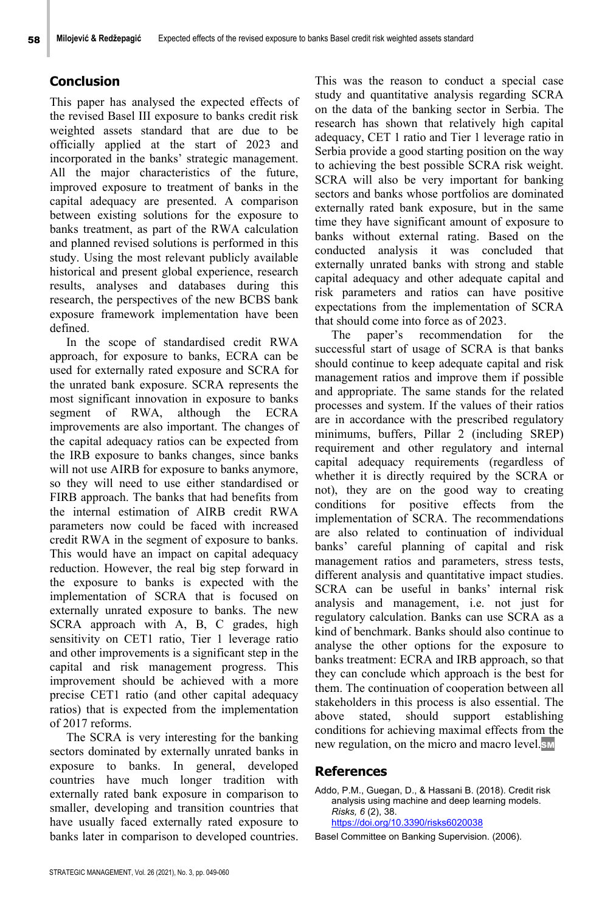## **Conclusion**

This paper has analysed the expected effects of the revised Basel III exposure to banks credit risk weighted assets standard that are due to be officially applied at the start of 2023 and incorporated in the banks' strategic management. All the major characteristics of the future, improved exposure to treatment of banks in the capital adequacy are presented. A comparison between existing solutions for the exposure to banks treatment, as part of the RWA calculation and planned revised solutions is performed in this study. Using the most relevant publicly available historical and present global experience, research results, analyses and databases during this research, the perspectives of the new BCBS bank exposure framework implementation have been defined.

In the scope of standardised credit RWA approach, for exposure to banks, ECRA can be used for externally rated exposure and SCRA for the unrated bank exposure. SCRA represents the most significant innovation in exposure to banks segment of RWA, although the ECRA improvements are also important. The changes of the capital adequacy ratios can be expected from the IRB exposure to banks changes, since banks will not use AIRB for exposure to banks anymore, so they will need to use either standardised or FIRB approach. The banks that had benefits from the internal estimation of AIRB credit RWA parameters now could be faced with increased credit RWA in the segment of exposure to banks. This would have an impact on capital adequacy reduction. However, the real big step forward in the exposure to banks is expected with the implementation of SCRA that is focused on externally unrated exposure to banks. The new SCRA approach with A, B, C grades, high sensitivity on CET1 ratio, Tier 1 leverage ratio and other improvements is a significant step in the capital and risk management progress. This improvement should be achieved with a more precise CET1 ratio (and other capital adequacy ratios) that is expected from the implementation of 2017 reforms.

The SCRA is very interesting for the banking sectors dominated by externally unrated banks in exposure to banks. In general, developed countries have much longer tradition with externally rated bank exposure in comparison to smaller, developing and transition countries that have usually faced externally rated exposure to banks later in comparison to developed countries.

This was the reason to conduct a special case study and quantitative analysis regarding SCRA on the data of the banking sector in Serbia. The research has shown that relatively high capital adequacy, CET 1 ratio and Tier 1 leverage ratio in Serbia provide a good starting position on the way to achieving the best possible SCRA risk weight. SCRA will also be very important for banking sectors and banks whose portfolios are dominated externally rated bank exposure, but in the same time they have significant amount of exposure to banks without external rating. Based on the conducted analysis it was concluded that externally unrated banks with strong and stable capital adequacy and other adequate capital and risk parameters and ratios can have positive expectations from the implementation of SCRA that should come into force as of 2023.

The paper's recommendation for the successful start of usage of SCRA is that banks should continue to keep adequate capital and risk management ratios and improve them if possible and appropriate. The same stands for the related processes and system. If the values of their ratios are in accordance with the prescribed regulatory minimums, buffers, Pillar 2 (including SREP) requirement and other regulatory and internal capital adequacy requirements (regardless of whether it is directly required by the SCRA or not), they are on the good way to creating conditions for positive effects from the implementation of SCRA. The recommendations are also related to continuation of individual banks' careful planning of capital and risk management ratios and parameters, stress tests, different analysis and quantitative impact studies. SCRA can be useful in banks' internal risk analysis and management, i.e. not just for regulatory calculation. Banks can use SCRA as a kind of benchmark. Banks should also continue to analyse the other options for the exposure to banks treatment: ECRA and IRB approach, so that they can conclude which approach is the best for them. The continuation of cooperation between all stakeholders in this process is also essential. The above stated, should support establishing conditions for achieving maximal effects from the new regulation, on the micro and macro level.

## **References**

Addo, P.M., Guegan, D., & Hassani B. (2018). Credit risk analysis using machine and deep learning models. *Risks, 6* (2), 38. https://doi.org/10.3390/risks6020038

Basel Committee on Banking Supervision. (2006).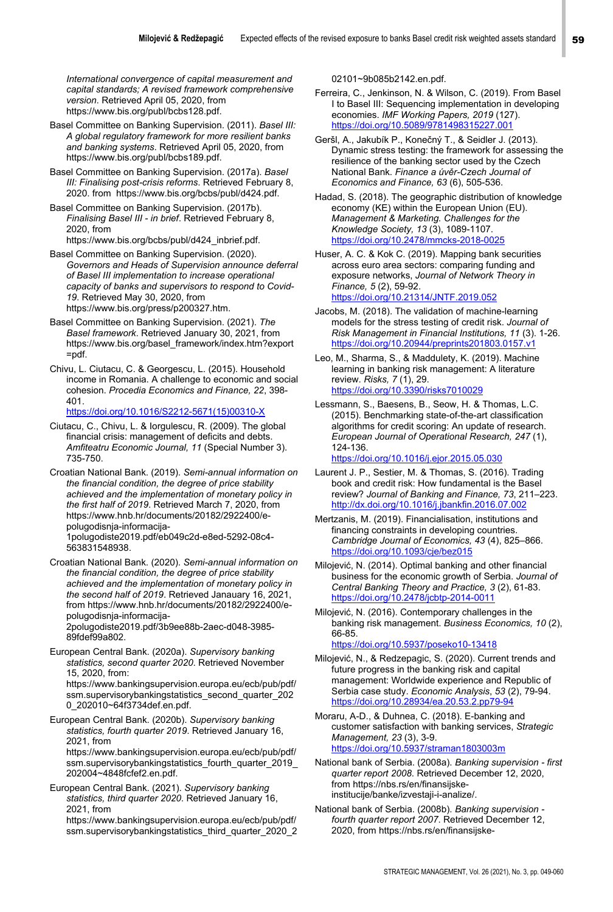*International convergence of capital measurement and capital standards; A revised framework comprehensive version*. Retrieved April 05, 2020, from https://www.bis.org/publ/bcbs128.pdf.

Basel Committee on Banking Supervision. (2011). *Basel III: A global regulatory framework for more resilient banks and banking systems*. Retrieved April 05, 2020, from https://www.bis.org/publ/bcbs189.pdf.

Basel Committee on Banking Supervision. (2017a). *Basel III: Finalising post-crisis reforms*. Retrieved February 8, 2020. from https://www.bis.org/bcbs/publ/d424.pdf.

Basel Committee on Banking Supervision. (2017b). *Finalising Basel III - in brief*. Retrieved February 8, 2020, from https://www.bis.org/bcbs/publ/d424\_inbrief.pdf.

- Basel Committee on Banking Supervision. (2020). *Governors and Heads of Supervision announce deferral of Basel III implementation to increase operational capacity of banks and supervisors to respond to Covid-19*. Retrieved May 30, 2020, from https://www.bis.org/press/p200327.htm.
- Basel Committee on Banking Supervision. (2021). *The Basel framework*. Retrieved January 30, 2021, from https://www.bis.org/basel\_framework/index.htm?export =pdf.
- Chivu, L. Ciutacu, C. & Georgescu, L. (2015). Household income in Romania. A challenge to economic and social cohesion. *Procedia Economics and Finance, 22*, 398- 401.

https://doi.org/10.1016/S2212-5671(15)00310-X

Ciutacu, C., Chivu, L. & Iorgulescu, R. (2009). The global financial crisis: management of deficits and debts. *Amfiteatru Economic Journal, 11* (Special Number 3). 735-750.

Croatian National Bank. (2019). *Semi-annual information on the financial condition, the degree of price stability achieved and the implementation of monetary policy in the first half of 2019*. Retrieved March 7, 2020, from https://www.hnb.hr/documents/20182/2922400/epolugodisnja-informacija-1polugodiste2019.pdf/eb049c2d-e8ed-5292-08c4- 563831548938.

Croatian National Bank. (2020). *Semi-annual information on the financial condition, the degree of price stability achieved and the implementation of monetary policy in the second half of 2019*. Retrieved Janauary 16, 2021, from https://www.hnb.hr/documents/20182/2922400/epolugodisnja-informacija-2polugodiste2019.pdf/3b9ee88b-2aec-d048-3985- 89fdef99a802.

European Central Bank. (2020a). *Supervisory banking statistics, second quarter 2020*. Retrieved November 15, 2020, from: https://www.bankingsupervision.europa.eu/ecb/pub/pdf/

ssm.supervisorybankingstatistics\_second\_quarter\_202 0\_202010~64f3734def.en.pdf.

European Central Bank. (2020b). *Supervisory banking statistics, fourth quarter 2019*. Retrieved January 16, 2021, from https://www.bankingsupervision.europa.eu/ecb/pub/pdf/

ssm.supervisorybankingstatistics\_fourth\_quarter\_2019\_ 202004~4848fcfef2.en.pdf.

European Central Bank. (2021). *Supervisory banking statistics, third quarter 2020*. Retrieved January 16, 2021, from

https://www.bankingsupervision.europa.eu/ecb/pub/pdf/ ssm.supervisorybankingstatistics\_third\_quarter\_2020\_2 02101~9b085b2142.en.pdf.

- Ferreira, C., Jenkinson, N. & Wilson, C. (2019). From Basel I to Basel III: Sequencing implementation in developing economies. *IMF Working Papers, 2019* (127). https://doi.org/10.5089/9781498315227.001
- Geršl, A., Jakubík P., Konečný T., & Seidler J. (2013). Dynamic stress testing: the framework for assessing the resilience of the banking sector used by the Czech National Bank. *Finance a úvěr-Czech Journal of Economics and Finance, 63* (6), 505-536.

Hadad, S. (2018). The geographic distribution of knowledge economy (KE) within the European Union (EU). *Management & Marketing. Challenges for the Knowledge Society, 13* (3), 1089-1107. https://doi.org/10.2478/mmcks-2018-0025

Huser, A. C. & Kok C. (2019). Mapping bank securities across euro area sectors: comparing funding and exposure networks, *Journal of Network Theory in Finance, 5* (2), 59-92. https://doi.org/10.21314/JNTF.2019.052

- Jacobs, M. (2018). The validation of machine-learning models for the stress testing of credit risk. *Journal of Risk Management in Financial Institutions, 11* (3). 1-26. https://doi.org/10.20944/preprints201803.0157
- Leo, M., Sharma, S., & Maddulety, K. (2019). Machine learning in banking risk management: A literature review. *Risks, 7* (1), 29. https://doi.org/10.3390/risks7010029

Lessmann, S., Baesens, B., Seow, H. & Thomas, L.C. (2015). Benchmarking state-of-the-art classification algorithms for credit scoring: An update of research. *European Journal of Operational Research, 247* (1), 124-136.

https://doi.org/10.1016/j.ejor.2015.05.030

- Laurent J. P., Sestier, M. & Thomas, S. (2016). Trading book and credit risk: How fundamental is the Basel review? *Journal of Banking and Finance, 73*, 211–223. http://dx.doi.org/10.1016/j.jbankfin.2016.07.002
- Mertzanis, M. (2019). Financialisation, institutions and financing constraints in developing countries. *Cambridge Journal of Economics, 43* (4), 825–866. https://doi.org/10.1093/cje/bez015
- Milojević, N. (2014). Optimal banking and other financial business for the economic growth of Serbia. *Journal of Central Banking Theory and Practice, 3* (2), 61-83. https://doi.org/10.2478/jcbtp-2014-0011

Milojević, N. (2016). Contemporary challenges in the banking risk management. *Business Economics, 10* (2), 66-85.

https://doi.org/10.5937/poseko10-13418

Milojević, N., & Redzepagic, S. (2020). Current trends and future progress in the banking risk and capital management: Worldwide experience and Republic of Serbia case study. *Economic Analysis*, *53* (2), 79-94. https://doi.org/10.28934/ea.20.53.2.pp79-9

Moraru, A-D., & Duhnea, C. (2018). E-banking and customer satisfaction with banking services, *Strategic Management, 23* (3), 3-9. https://doi.org/10.5937/straman1803003m

National bank of Serbia. (2008a). *Banking supervision - first quarter report 2008*. Retrieved December 12, 2020, from https://nbs.rs/en/finansijskeinstitucije/banke/izvestaji-i-analize/.

National bank of Serbia. (2008b). *Banking supervision fourth quarter report 2007*. Retrieved December 12, 2020, from https://nbs.rs/en/finansijske